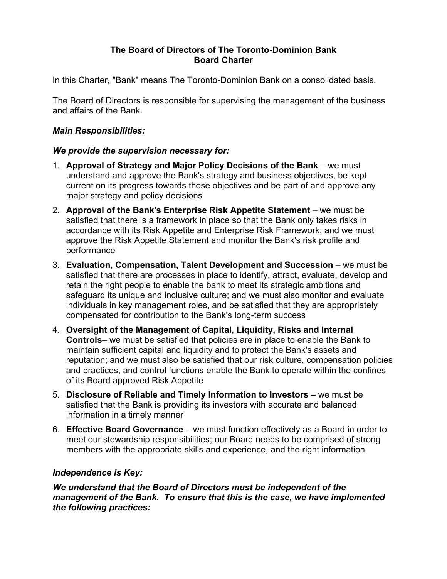#### **The Board of Directors of The Toronto-Dominion Bank Board Charter**

In this Charter, "Bank" means The Toronto-Dominion Bank on a consolidated basis.

The Board of Directors is responsible for supervising the management of the business and affairs of the Bank.

# *Main Responsibilities:*

#### *We provide the supervision necessary for:*

- 1. **Approval of Strategy and Major Policy Decisions of the Bank** we must understand and approve the Bank's strategy and business objectives, be kept current on its progress towards those objectives and be part of and approve any major strategy and policy decisions
- 2. **Approval of the Bank's Enterprise Risk Appetite Statement** we must be satisfied that there is a framework in place so that the Bank only takes risks in accordance with its Risk Appetite and Enterprise Risk Framework; and we must approve the Risk Appetite Statement and monitor the Bank's risk profile and performance
- 3. **Evaluation, Compensation, Talent Development and Succession**  we must be satisfied that there are processes in place to identify, attract, evaluate, develop and retain the right people to enable the bank to meet its strategic ambitions and safeguard its unique and inclusive culture; and we must also monitor and evaluate individuals in key management roles, and be satisfied that they are appropriately compensated for contribution to the Bank's long-term success
- 4. **Oversight of the Management of Capital, Liquidity, Risks and Internal Controls**– we must be satisfied that policies are in place to enable the Bank to maintain sufficient capital and liquidity and to protect the Bank's assets and reputation; and we must also be satisfied that our risk culture, compensation policies and practices, and control functions enable the Bank to operate within the confines of its Board approved Risk Appetite
- 5. **Disclosure of Reliable and Timely Information to Investors –** we must be satisfied that the Bank is providing its investors with accurate and balanced information in a timely manner
- 6. **Effective Board Governance** we must function effectively as a Board in order to meet our stewardship responsibilities; our Board needs to be comprised of strong members with the appropriate skills and experience, and the right information

# *Independence is Key:*

*We understand that the Board of Directors must be independent of the management of the Bank. To ensure that this is the case, we have implemented the following practices:*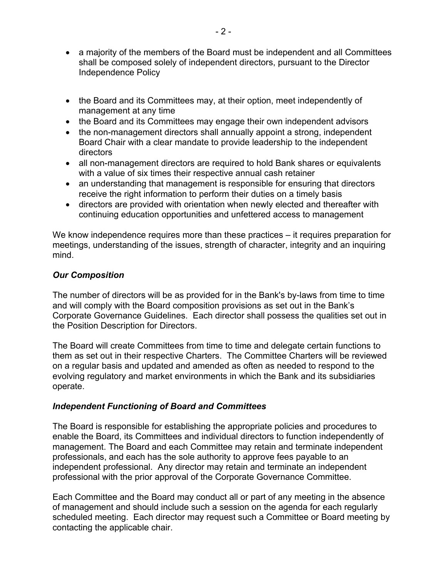- a majority of the members of the Board must be independent and all Committees shall be composed solely of independent directors, pursuant to the Director Independence Policy
- the Board and its Committees may, at their option, meet independently of management at any time
- the Board and its Committees may engage their own independent advisors
- the non-management directors shall annually appoint a strong, independent Board Chair with a clear mandate to provide leadership to the independent directors
- all non-management directors are required to hold Bank shares or equivalents with a value of six times their respective annual cash retainer
- an understanding that management is responsible for ensuring that directors receive the right information to perform their duties on a timely basis
- directors are provided with orientation when newly elected and thereafter with continuing education opportunities and unfettered access to management

We know independence requires more than these practices – it requires preparation for meetings, understanding of the issues, strength of character, integrity and an inquiring mind.

#### *Our Composition*

The number of directors will be as provided for in the Bank's by-laws from time to time and will comply with the Board composition provisions as set out in the Bank's Corporate Governance Guidelines. Each director shall possess the qualities set out in the Position Description for Directors.

The Board will create Committees from time to time and delegate certain functions to them as set out in their respective Charters. The Committee Charters will be reviewed on a regular basis and updated and amended as often as needed to respond to the evolving regulatory and market environments in which the Bank and its subsidiaries operate.

# *Independent Functioning of Board and Committees*

The Board is responsible for establishing the appropriate policies and procedures to enable the Board, its Committees and individual directors to function independently of management. The Board and each Committee may retain and terminate independent professionals, and each has the sole authority to approve fees payable to an independent professional. Any director may retain and terminate an independent professional with the prior approval of the Corporate Governance Committee.

Each Committee and the Board may conduct all or part of any meeting in the absence of management and should include such a session on the agenda for each regularly scheduled meeting. Each director may request such a Committee or Board meeting by contacting the applicable chair.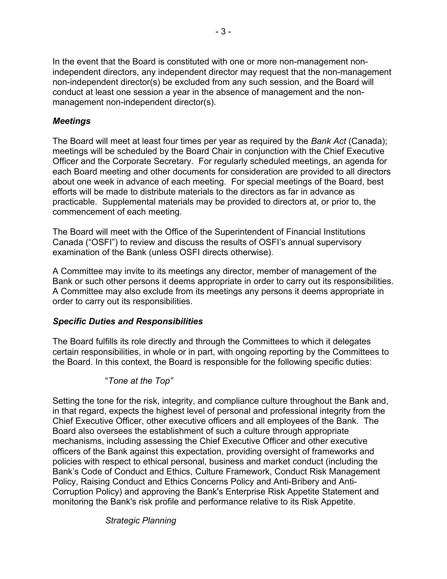In the event that the Board is constituted with one or more non-management nonindependent directors, any independent director may request that the non-management non-independent director(s) be excluded from any such session, and the Board will conduct at least one session a year in the absence of management and the nonmanagement non-independent director(s).

#### *Meetings*

The Board will meet at least four times per year as required by the *Bank Act* (Canada); meetings will be scheduled by the Board Chair in conjunction with the Chief Executive Officer and the Corporate Secretary. For regularly scheduled meetings, an agenda for each Board meeting and other documents for consideration are provided to all directors about one week in advance of each meeting. For special meetings of the Board, best efforts will be made to distribute materials to the directors as far in advance as practicable. Supplemental materials may be provided to directors at, or prior to, the commencement of each meeting.

The Board will meet with the Office of the Superintendent of Financial Institutions Canada ("OSFI") to review and discuss the results of OSFI's annual supervisory examination of the Bank (unless OSFI directs otherwise).

A Committee may invite to its meetings any director, member of management of the Bank or such other persons it deems appropriate in order to carry out its responsibilities. A Committee may also exclude from its meetings any persons it deems appropriate in order to carry out its responsibilities.

#### *Specific Duties and Responsibilities*

The Board fulfills its role directly and through the Committees to which it delegates certain responsibilities, in whole or in part, with ongoing reporting by the Committees to the Board. In this context, the Board is responsible for the following specific duties:

#### "*Tone at the Top"*

Setting the tone for the risk, integrity, and compliance culture throughout the Bank and, in that regard, expects the highest level of personal and professional integrity from the Chief Executive Officer, other executive officers and all employees of the Bank. The Board also oversees the establishment of such a culture through appropriate mechanisms, including assessing the Chief Executive Officer and other executive officers of the Bank against this expectation, providing oversight of frameworks and policies with respect to ethical personal, business and market conduct (including the Bank's Code of Conduct and Ethics, Culture Framework, Conduct Risk Management Policy, Raising Conduct and Ethics Concerns Policy and Anti-Bribery and Anti-Corruption Policy) and approving the Bank's Enterprise Risk Appetite Statement and monitoring the Bank's risk profile and performance relative to its Risk Appetite.

# *Strategic Planning*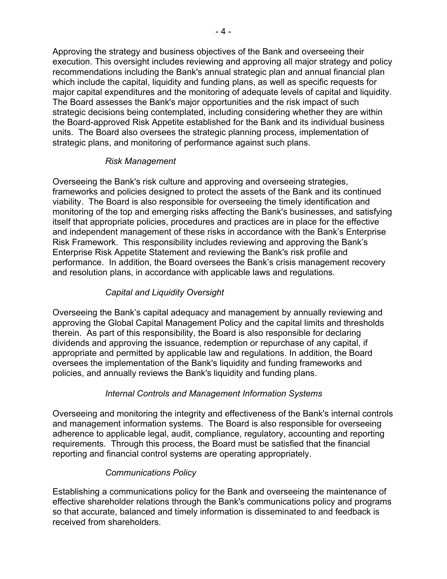Approving the strategy and business objectives of the Bank and overseeing their execution. This oversight includes reviewing and approving all major strategy and policy recommendations including the Bank's annual strategic plan and annual financial plan which include the capital, liquidity and funding plans, as well as specific requests for major capital expenditures and the monitoring of adequate levels of capital and liquidity. The Board assesses the Bank's major opportunities and the risk impact of such strategic decisions being contemplated, including considering whether they are within the Board-approved Risk Appetite established for the Bank and its individual business units. The Board also oversees the strategic planning process, implementation of strategic plans, and monitoring of performance against such plans.

# *Risk Management*

Overseeing the Bank's risk culture and approving and overseeing strategies, frameworks and policies designed to protect the assets of the Bank and its continued viability. The Board is also responsible for overseeing the timely identification and monitoring of the top and emerging risks affecting the Bank's businesses, and satisfying itself that appropriate policies, procedures and practices are in place for the effective and independent management of these risks in accordance with the Bank's Enterprise Risk Framework. This responsibility includes reviewing and approving the Bank's Enterprise Risk Appetite Statement and reviewing the Bank's risk profile and performance. In addition, the Board oversees the Bank's crisis management recovery and resolution plans, in accordance with applicable laws and regulations.

# *Capital and Liquidity Oversight*

Overseeing the Bank's capital adequacy and management by annually reviewing and approving the Global Capital Management Policy and the capital limits and thresholds therein. As part of this responsibility, the Board is also responsible for declaring dividends and approving the issuance, redemption or repurchase of any capital, if appropriate and permitted by applicable law and regulations. In addition, the Board oversees the implementation of the Bank's liquidity and funding frameworks and policies, and annually reviews the Bank's liquidity and funding plans.

# *Internal Controls and Management Information Systems*

Overseeing and monitoring the integrity and effectiveness of the Bank's internal controls and management information systems. The Board is also responsible for overseeing adherence to applicable legal, audit, compliance, regulatory, accounting and reporting requirements. Through this process, the Board must be satisfied that the financial reporting and financial control systems are operating appropriately.

#### *Communications Policy*

Establishing a communications policy for the Bank and overseeing the maintenance of effective shareholder relations through the Bank's communications policy and programs so that accurate, balanced and timely information is disseminated to and feedback is received from shareholders.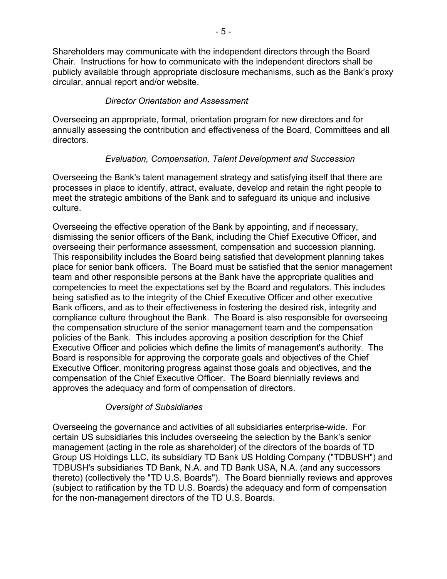Shareholders may communicate with the independent directors through the Board Chair. Instructions for how to communicate with the independent directors shall be publicly available through appropriate disclosure mechanisms, such as the Bank's proxy circular, annual report and/or website.

# *Director Orientation and Assessment*

Overseeing an appropriate, formal, orientation program for new directors and for annually assessing the contribution and effectiveness of the Board, Committees and all directors.

# *Evaluation, Compensation, Talent Development and Succession*

Overseeing the Bank's talent management strategy and satisfying itself that there are processes in place to identify, attract, evaluate, develop and retain the right people to meet the strategic ambitions of the Bank and to safeguard its unique and inclusive culture.

Overseeing the effective operation of the Bank by appointing, and if necessary, dismissing the senior officers of the Bank, including the Chief Executive Officer, and overseeing their performance assessment, compensation and succession planning. This responsibility includes the Board being satisfied that development planning takes place for senior bank officers. The Board must be satisfied that the senior management team and other responsible persons at the Bank have the appropriate qualities and competencies to meet the expectations set by the Board and regulators. This includes being satisfied as to the integrity of the Chief Executive Officer and other executive Bank officers, and as to their effectiveness in fostering the desired risk, integrity and compliance culture throughout the Bank. The Board is also responsible for overseeing the compensation structure of the senior management team and the compensation policies of the Bank. This includes approving a position description for the Chief Executive Officer and policies which define the limits of management's authority. The Board is responsible for approving the corporate goals and objectives of the Chief Executive Officer, monitoring progress against those goals and objectives, and the compensation of the Chief Executive Officer. The Board biennially reviews and approves the adequacy and form of compensation of directors.

# *Oversight of Subsidiaries*

Overseeing the governance and activities of all subsidiaries enterprise-wide. For certain US subsidiaries this includes overseeing the selection by the Bank's senior management (acting in the role as shareholder) of the directors of the boards of TD Group US Holdings LLC, its subsidiary TD Bank US Holding Company ("TDBUSH") and TDBUSH's subsidiaries TD Bank, N.A. and TD Bank USA, N.A. (and any successors thereto) (collectively the "TD U.S. Boards"). The Board biennially reviews and approves (subject to ratification by the TD U.S. Boards) the adequacy and form of compensation for the non-management directors of the TD U.S. Boards.